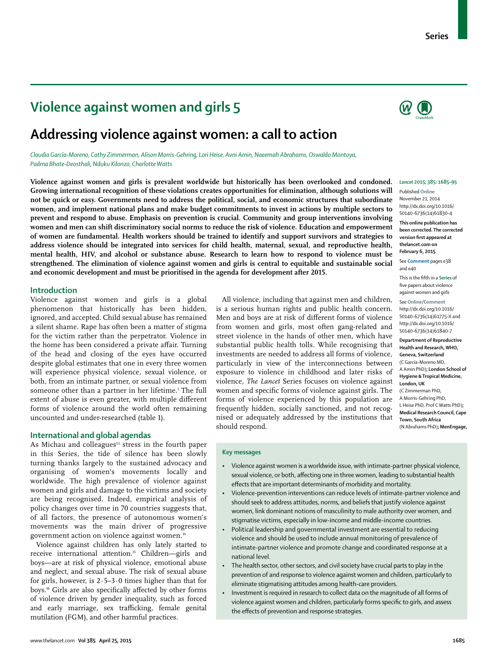# **Violence against women and girls 5**

# **Addressing violence against women: a call to action**

*Claudia García-Moreno, Cathy Zimmerman, Alison Morris-Gehring, Lori Heise, Avni Amin, Naeemah Abrahams, Oswaldo M ontoya, Padma Bhate-Deosthali, Nduku Kilonzo, Charlotte Watts*

**Violence against women and girls is prevalent worldwide but historically has been overlooked and condoned. Growing international recognition of these violations creates opportunities for elimination, although solutions will not be quick or easy. Governments need to address the political, social, and economic structures that subordinate women, and implement national plans and make budget commitments to invest in actions by multiple sectors to prevent and respond to abuse. Emphasis on prevention is crucial. Community and group interventions involving women and men can shift discriminatory social norms to reduce the risk of violence. Education and empowerment of women are fundamental. Health workers should be trained to identify and support survivors and strategies to address violence should be integrated into services for child health, maternal, sexual, and reproductive health, mental health, HIV, and alcohol or substance abuse. Research to learn how to respond to violence must be strengthened. The elimination of violence against women and girls is central to equitable and sustainable social and economic development and must be prioritised in the agenda for development after 2015.**

## **Introduction**

Violence against women and girls is a global phenomenon that historically has been hidden, ignored, and accepted. Child sexual abuse has remained a silent shame. Rape has often been a matter of stigma for the victim rather than the perpetrator. Violence in the home has been considered a private affair. Turning of the head and closing of the eyes have occurred despite global estimates that one in every three women will experience physical violence, sexual violence, or both, from an intimate partner, or sexual violence from someone other than a partner in her lifetime.<sup>1</sup> The full extent of abuse is even greater, with multiple different forms of violence around the world often remaining uncounted and under-researched (table 1).

## **International and global agendas**

As Michau and colleagues<sup>13</sup> stress in the fourth paper in this Series, the tide of silence has been slowly turning thanks largely to the sustained advocacy and organising of women's movements locally and worldwide. The high prevalence of violence against women and girls and damage to the victims and society are being recognised. Indeed, empirical analysis of policy changes over time in 70 countries suggests that, of all factors, the presence of autonomous women's movements was the main driver of progressive government action on violence against women.14

Violence against children has only lately started to receive international attention.15 Children—girls and boys—are at risk of physical violence, emotional abuse and neglect, and sexual abuse. The risk of sexual abuse for girls, however, is  $2.5-3.0$  times higher than that for boys.<sup>16</sup> Girls are also specifically affected by other forms of violence driven by gender inequality, such as forced and early marriage, sex trafficking, female genital mutilation (FGM), and other harmful practices.

All violence, including that against men and children, is a serious human rights and public health concern. Men and boys are at risk of different forms of violence from women and girls, most often gang-related and street violence in the hands of other men, which have substantial public health tolls. While recognising that investments are needed to address all forms of violence, particularly in view of the interconnections between exposure to violence in childhood and later risks of violence, *The Lancet* Series focuses on violence against women and specific forms of violence against girls. The forms of violence experienced by this population are frequently hidden, socially sanctioned, and not recognised or adequately addressed by the institutions that should respond.

#### *Lancet* **2015; 385: 1685–95**

Published **Online** November 21, 2014 http://dx.doi.org/10.1016/ S0140-6736(14)61830-4 **This online publication has been corrected. The corrected version first appeared at thelancet.com on February 6, 2015**

See **Comment** pages e38 and e40

This is the fifth in a **Series** of five papers about violence against women and girls

See **Online/Comment** http://dx.doi.org/10.1016/ S0140-6736(14)61775-X and http://dx.doi.org/10.1016/ S0140-6736(14)61840-7

**Department of Reproductive Health and Research, WHO, Geneva, Switzerland**  (C García-Moreno MD, A Amin PhD)**; London School of Hygiene & Tropical Medicine, London, UK** 

(C Zimmerman PhD, A Morris-Gehring PhD, L Heise PhD, Prof C Watts PhD)**; Medical Research Council, Cape Town, South Africa**  (N Abrahams PhD)**; MenEngage,** 

## **Key messages**

- Violence against women is a worldwide issue, with intimate-partner physical violence, sexual violence, or both, affecting one in three women, leading to substantial health effects that are important determinants of morbidity and mortality.
- Violence-prevention interventions can reduce levels of intimate-partner violence and should seek to address attitudes, norms, and beliefs that justify violence against women, link dominant notions of masculinity to male authority over women, and stigmatise victims, especially in low-income and middle-income countries.
- Political leadership and governmental investment are essential to reducing violence and should be used to include annual monitoring of prevalence of intimate-partner violence and promote change and coordinated response at a national level.
- The health sector, other sectors, and civil society have crucial parts to play in the prevention of and response to violence against women and children, particularly to eliminate stigmatising attitudes among health-care providers.
- Investment is required in research to collect data on the magnitude of all forms of violence against women and children, particularly forms specific to girls, and assess the effects of prevention and response strategies.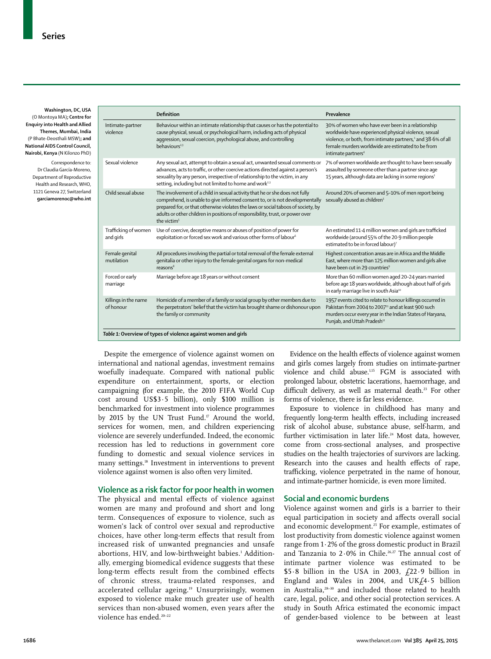**Washington, DC, USA**  (O Montoya MA)**; Centre for Enquiry into Health and Allied Themes, Mumbai, India**  (P Bhate-Deosthali MSW)**; and National AIDS Control Council, Nairobi, Kenya** (N Kilonzo PhD) Correspondence to: Dr Claudia García-Moreno, Department of Reproductive Health and Research, WHO,

> 1121 Geneva 27, Switzerland **garciamorenoc@who.int**

| Intimate-partner<br>violence      | Behaviour within an intimate relationship that causes or has the potential to<br>cause physical, sexual, or psychological harm, including acts of physical<br>aggression, sexual coercion, psychological abuse, and controlling<br>behaviours <sup>2,3</sup>                                                                                                 | 30% of women who have ever been in a relationship<br>worldwide have experienced physical violence, sexual<br>violence, or both, from intimate partners, <sup>1</sup> and 38.6% of all<br>female murders worldwide are estimated to be from<br>intimate partners <sup>4</sup> |  |
|-----------------------------------|--------------------------------------------------------------------------------------------------------------------------------------------------------------------------------------------------------------------------------------------------------------------------------------------------------------------------------------------------------------|------------------------------------------------------------------------------------------------------------------------------------------------------------------------------------------------------------------------------------------------------------------------------|--|
| Sexual violence                   | Any sexual act, attempt to obtain a sexual act, unwanted sexual comments or<br>advances, acts to traffic, or other coercive actions directed against a person's<br>sexuality by any person, irrespective of relationship to the victim, in any<br>setting, including but not limited to home and work <sup>23</sup>                                          | 7% of women worldwide are thought to have been sexually<br>assaulted by someone other than a partner since age<br>15 years, although data are lacking in some regions <sup>1</sup>                                                                                           |  |
| Child sexual abuse                | The involvement of a child in sexual activity that he or she does not fully<br>comprehend, is unable to give informed consent to, or is not developmentally<br>prepared for, or that otherwise violates the laws or social taboos of society, by<br>adults or other children in positions of responsibility, trust, or power over<br>the victim <sup>5</sup> | Around 20% of women and 5-10% of men report being<br>sexually abused as children <sup>5</sup>                                                                                                                                                                                |  |
| Trafficking of women<br>and girls | Use of coercive, deceptive means or abuses of position of power for<br>exploitation or forced sex work and various other forms of labour <sup>6</sup>                                                                                                                                                                                                        | An estimated 11.4 million women and girls are trafficked<br>worldwide (around 55% of the 20-9 million people<br>estimated to be in forced labour) <sup>7</sup>                                                                                                               |  |
| Female genital<br>mutilation      | All procedures involving the partial or total removal of the female external<br>genitalia or other injury to the female genital organs for non-medical<br>reasons <sup>8</sup>                                                                                                                                                                               | Highest concentration areas are in Africa and the Middle<br>East, where more than 125 million women and girls alive<br>have been cut in 29 countries <sup>9</sup>                                                                                                            |  |
| Forced or early<br>marriage       | Marriage before age 18 years or without consent                                                                                                                                                                                                                                                                                                              | More than 60 million women aged 20-24 years married<br>before age 18 years worldwide, although about half of girls<br>in early marriage live in south Asia <sup>10</sup>                                                                                                     |  |
| Killings in the name<br>of honour | Homicide of a member of a family or social group by other members due to<br>the perpetrators' belief that the victim has brought shame or dishonour upon<br>the family or community                                                                                                                                                                          | 1957 events cited to relate to honour killings occurred in<br>Pakistan from 2004 to 2007 <sup>11</sup> and at least 900 such<br>murders occur every year in the Indian States of Haryana,<br>Punjab, and Uttah Pradesh <sup>12</sup>                                         |  |

**Definition Prevalence Property of the Contract Prevalence Prevalence** 

Despite the emergence of violence against women on international and national agendas, investment remains woefully inadequate. Compared with national public expenditure on entertainment, sports, or election campaigning (for example, the 2010 FIFA World Cup cost around US\$3·5 billion), only \$100 million is benchmarked for investment into violence programmes by 2015 by the UN Trust Fund.<sup>17</sup> Around the world, services for women, men, and children experiencing violence are severely underfunded. Indeed, the economic recession has led to reductions in government core funding to domestic and sexual violence services in many settings.<sup>18</sup> Investment in interventions to prevent violence against women is also often very limited.

#### **Violence as a risk factor for poor health in women**

The physical and mental effects of violence against women are many and profound and short and long term. Consequences of exposure to violence, such as women's lack of control over sexual and reproductive choices, have other long-term effects that result from increased risk of unwanted pregnancies and unsafe abortions, HIV, and low-birthweight babies.<sup>1</sup> Additionally, emerging biomedical evidence suggests that these long-term effects result from the combined effects of chronic stress, trauma-related responses, and accelerated cellular ageing.<sup>19</sup> Unsurprisingly, women exposed to violence make much greater use of health services than non-abused women, even years after the violence has ended.<sup>20-22</sup>

Evidence on the health effects of violence against women and girls comes largely from studies on intimate-partner violence and child abuse.1,15 FGM is associated with prolonged labour, obstetric lacerations, haemorrhage, and difficult delivery, as well as maternal death.<sup>23</sup> For other forms of violence, there is far less evidence.

Exposure to violence in childhood has many and frequently long-term health effects, including increased risk of alcohol abuse, substance abuse, self-harm, and further victimisation in later life.<sup>24</sup> Most data, however, come from cross-sectional analyses, and prospective studies on the health trajectories of survivors are lacking. Research into the causes and health effects of rape, trafficking, violence perpetrated in the name of honour, and intimate-partner homicide, is even more limited.

## **Social and economic burdens**

Violence against women and girls is a barrier to their equal participation in society and affects overall social and economic development.<sup>25</sup> For example, estimates of lost productivity from domestic violence against women range from 1·2% of the gross domestic product in Brazil and Tanzania to 2 $0.0\%$  in Chile.<sup>26,27</sup> The annual cost of intimate partner violence was estimated to be  $$5.8$  billion in the USA in 2003,  $f$ 22.9 billion in England and Wales in 2004, and  $UKf4.5$  billion in Australia,28–30 and included those related to health care, legal, police, and other social protection services. A study in South Africa estimated the economic impact of gender-based violence to be between at least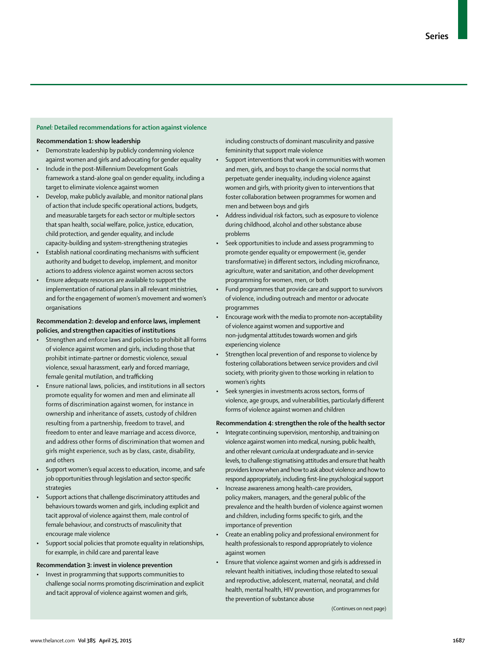#### *Panel:* **Detailed recommendations for action against violence**

## **Recommendation 1: show leadership**

- Demonstrate leadership by publicly condemning violence against women and girls and advocating for gender equality
- Include in the post-Millennium Development Goals framework a stand-alone goal on gender equality, including a target to eliminate violence against women
- Develop, make publicly available, and monitor national plans of action that include specific operational actions, budgets, and measurable targets for each sector or multiple sectors that span health, social welfare, police, justice, education, child protection, and gender equality, and include capacity-building and system-strengthening strategies
- **Establish national coordinating mechanisms with sufficient** authority and budget to develop, implement, and monitor actions to address violence against women across sectors
- Ensure adequate resources are available to support the implementation of national plans in all relevant ministries, and for the engagement of women's movement and women's organisations

### **Recommendation 2: develop and enforce laws, implement policies, and strengthen capacities of institutions**

- Strengthen and enforce laws and policies to prohibit all forms of violence against women and girls, including those that prohibit intimate-partner or domestic violence, sexual violence, sexual harassment, early and forced marriage, female genital mutilation, and trafficking
- Ensure national laws, policies, and institutions in all sectors promote equality for women and men and eliminate all forms of discrimination against women, for instance in ownership and inheritance of assets, custody of children resulting from a partnership, freedom to travel, and freedom to enter and leave marriage and access divorce, and address other forms of discrimination that women and girls might experience, such as by class, caste, disability, and others
- Support women's equal access to education, income, and safe job opportunities through legislation and sector-specific strategies
- Support actions that challenge discriminatory attitudes and behaviours towards women and girls, including explicit and tacit approval of violence against them, male control of female behaviour, and constructs of masculinity that encourage male violence
- Support social policies that promote equality in relationships, for example, in child care and parental leave

#### **Recommendation 3: invest in violence prevention**

• Invest in programming that supports communities to challenge social norms promoting discrimination and explicit and tacit approval of violence against women and girls,

including constructs of dominant masculinity and passive femininity that support male violence

- Support interventions that work in communities with women and men, girls, and boys to change the social norms that perpetuate gender inequality, including violence against women and girls, with priority given to interventions that foster collaboration between programmes for women and men and between boys and girls
- Address individual risk factors, such as exposure to violence during childhood, alcohol and other substance abuse problems
- Seek opportunities to include and assess programming to promote gender equality or empowerment (ie, gender transformative) in different sectors, including microfinance, agriculture, water and sanitation, and other development programming for women, men, or both
- Fund programmes that provide care and support to survivors of violence, including outreach and mentor or advocate programmes
- Encourage work with the media to promote non-acceptability of violence against women and supportive and non-judgmental attitudes towards women and girls experiencing violence
- Strengthen local prevention of and response to violence by fostering collaborations between service providers and civil society, with priority given to those working in relation to women's rights
- Seek synergies in investments across sectors, forms of violence, age groups, and vulnerabilities, particularly different forms of violence against women and children

#### **Recommendation 4: strengthen the role of the health sector**

- Integrate continuing supervision, mentorship, and training on violence against women into medical, nursing, public health, and other relevant curricula at undergraduate and in-service levels, to challenge stigmatising attitudes and ensure that health providers know when and how to ask about violence and how to respond appropriately, including first-line psychological support
- Increase awareness among health-care providers, policy makers, managers, and the general public of the prevalence and the health burden of violence against women and children, including forms specific to girls, and the importance of prevention
- Create an enabling policy and professional environment for health professionals to respond appropriately to violence against women
- Ensure that violence against women and girls is addressed in relevant health initiatives, including those related to sexual and reproductive, adolescent, maternal, neonatal, and child health, mental health, HIV prevention, and programmes for the prevention of substance abuse

(Continues on next page)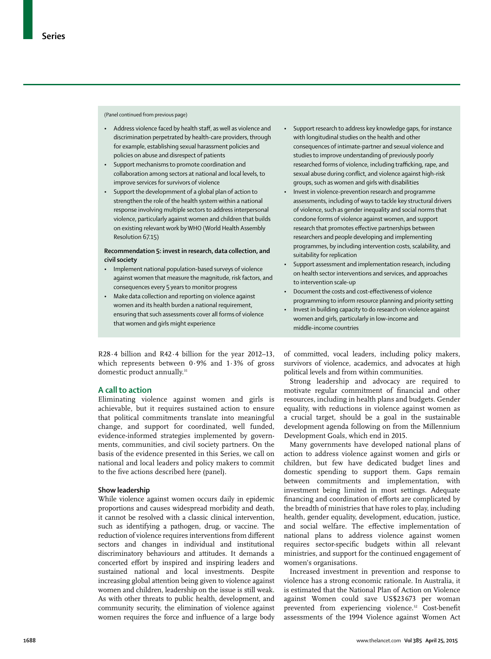(Panel continued from previous page)

- Address violence faced by health staff, as well as violence and discrimination perpetrated by health-care providers, through for example, establishing sexual harassment policies and policies on abuse and disrespect of patients
- Support mechanisms to promote coordination and collaboration among sectors at national and local levels, to improve services for survivors of violence
- Support the developmment of a global plan of action to strengthen the role of the health system within a national response involving multiple sectors to address interpersonal violence, particularly against women and children that builds on existing relevant work by WHO (World Health Assembly Resolution 67.15)

## **Recommendation 5: invest in research, data collection, and civil society**

- Implement national population-based surveys of violence against women that measure the magnitude, risk factors, and consequences every 5 years to monitor progress
- Make data collection and reporting on violence against women and its health burden a national requirement, ensuring that such assessments cover all forms of violence that women and girls might experience

R28·4 billion and R42·4 billion for the year 2012–13, which represents between 0·9% and 1·3% of gross domestic product annually.<sup>31</sup>

## **A call to action**

Eliminating violence against women and girls is achievable, but it requires sustained action to ensure that political commitments translate into meaningful change, and support for coordinated, well funded, evidence-informed strategies implemented by governments, communities, and civil society partners. On the basis of the evidence presented in this Series, we call on national and local leaders and policy makers to commit to the five actions described here (panel).

## **Show leadership**

While violence against women occurs daily in epidemic proportions and causes widespread morbidity and death, it cannot be resolved with a classic clinical intervention, such as identifying a pathogen, drug, or vaccine. The reduction of violence requires interventions from different sectors and changes in individual and institutional discriminatory behaviours and attitudes. It demands a concerted effort by inspired and inspiring leaders and sustained national and local investments. Despite increasing global attention being given to violence against women and children, leadership on the issue is still weak. As with other threats to public health, development, and community security, the elimination of violence against women requires the force and influence of a large body

- Support research to address key knowledge gaps, for instance with longitudinal studies on the health and other consequences of intimate-partner and sexual violence and studies to improve understanding of previously poorly researched forms of violence, including trafficking, rape, and sexual abuse during conflict, and violence against high-risk groups, such as women and girls with disabilities
- Invest in violence-prevention research and programme assessments, including of ways to tackle key structural drivers of violence, such as gender inequality and social norms that condone forms of violence against women, and support research that promotes effective partnerships between researchers and people developing and implementing programmes, by including intervention costs, scalability, and suitability for replication
- Support assessment and implementation research, including on health sector interventions and services, and approaches to intervention scale-up
- Document the costs and cost-effectiveness of violence programming to inform resource planning and priority setting
- Invest in building capacity to do research on violence against women and girls, particularly in low-income and middle-income countries

of committed, vocal leaders, including policy makers, survivors of violence, academics, and advocates at high political levels and from within communities.

Strong leadership and advocacy are required to motivate regular commitment of financial and other resources, including in health plans and budgets. Gender equality, with reductions in violence against women as a crucial target, should be a goal in the sustainable development agenda following on from the Millennium Development Goals, which end in 2015.

Many governments have developed national plans of action to address violence against women and girls or children, but few have dedicated budget lines and domestic spending to support them. Gaps remain between commitments and implementation, with investment being limited in most settings. Adequate financing and coordination of efforts are complicated by the breadth of ministries that have roles to play, including health, gender equality, development, education, justice, and social welfare. The effective implementation of national plans to address violence against women requires sector-specific budgets within all relevant ministries, and support for the continued engagement of women's organisations.

Increased investment in prevention and response to violence has a strong economic rationale. In Australia, it is estimated that the National Plan of Action on Violence against Women could save US\$23 673 per woman prevented from experiencing violence.<sup>32</sup> Cost-benefit assessments of the 1994 Violence against Women Act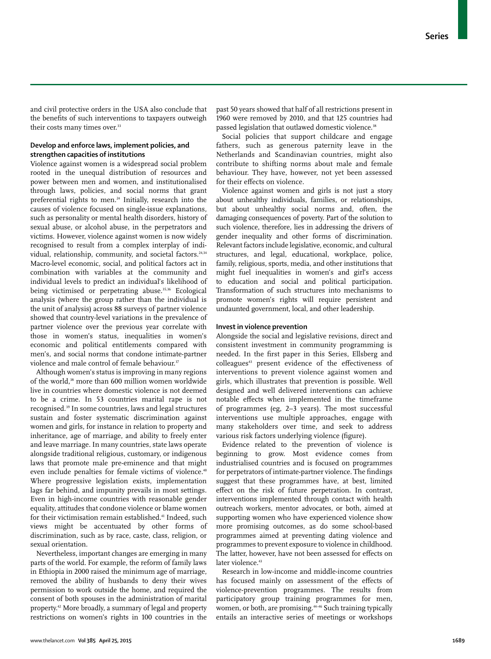and civil protective orders in the USA also conclude that the benefits of such interventions to taxpayers outweigh their costs many times over.<sup>33</sup>

## **Develop and enforce laws, implement policies, and strengthen capacities of institutions**

Violence against women is a widespread social problem rooted in the unequal distribution of resources and power between men and women, and institutionalised through laws, policies, and social norms that grant preferential rights to men.<sup>24</sup> Initially, research into the causes of violence focused on single-issue explanations, such as personality or mental health disorders, history of sexual abuse, or alcohol abuse, in the perpetrators and victims. However, violence against women is now widely recognised to result from a complex interplay of individual, relationship, community, and societal factors.<sup>24,34</sup> Macro-level economic, social, and political factors act in combination with variables at the community and individual levels to predict an individual's likelihood of being victimised or perpetrating abuse.<sup>35,36</sup> Ecological analysis (where the group rather than the individual is the unit of analysis) across 88 surveys of partner violence showed that country-level variations in the prevalence of partner violence over the previous year correlate with those in women's status, inequalities in women's economic and political entitlements compared with men's, and social norms that condone intimate-partner violence and male control of female behaviour.<sup>37</sup>

Although women's status is improving in many regions of the world,38 more than 600 million women worldwide live in countries where domestic violence is not deemed to be a crime. In 53 countries marital rape is not recognised.39 In some countries, laws and legal structures sustain and foster systematic discrimination against women and girls, for instance in relation to property and inheritance, age of marriage, and ability to freely enter and leave marriage. In many countries, state laws operate alongside traditional religious, customary, or indigenous laws that promote male pre-eminence and that might even include penalties for female victims of violence.<sup>40</sup> Where progressive legislation exists, implementation lags far behind, and impunity prevails in most settings. Even in high-income countries with reasonable gender equality, attitudes that condone violence or blame women for their victimisation remain established.<sup>41</sup> Indeed, such views might be accentuated by other forms of discrimination, such as by race, caste, class, religion, or sexual orientation.

Nevertheless, important changes are emerging in many parts of the world. For example, the reform of family laws in Ethiopia in 2000 raised the minimum age of marriage, removed the ability of husbands to deny their wives permission to work outside the home, and required the consent of both spouses in the administration of marital property.42 More broadly, a summary of legal and property restrictions on women's rights in 100 countries in the past 50 years showed that half of all restrictions present in 1960 were removed by 2010, and that 125 countries had passed legislation that outlawed domestic violence.<sup>38</sup>

Social policies that support childcare and engage fathers, such as generous paternity leave in the Netherlands and Scandinavian countries, might also contribute to shifting norms about male and female behaviour. They have, however, not yet been assessed for their effects on violence.

Violence against women and girls is not just a story about unhealthy individuals, families, or relationships, but about unhealthy social norms and, often, the damaging consequences of poverty. Part of the solution to such violence, therefore, lies in addressing the drivers of gender inequality and other forms of discrimination. Relevant factors include legislative, economic, and cultural structures, and legal, educational, workplace, police, family, religious, sports, media, and other institutions that might fuel inequalities in women's and girl's access to education and social and political participation. Transformation of such structures into mechanisms to promote women's rights will require persistent and undaunted government, local, and other leadership.

#### **Invest in violence prevention**

Alongside the social and legislative revisions, direct and consistent investment in community programming is needed. In the first paper in this Series, Ellsberg and colleagues<sup>43</sup> present evidence of the effectiveness of interventions to prevent violence against women and girls, which illustrates that prevention is possible. Well designed and well delivered interventions can achieve notable effects when implemented in the timeframe of programmes (eg, 2–3 years). The most successful interventions use multiple approaches, engage with many stakeholders over time, and seek to address various risk factors underlying violence (figure).

Evidence related to the prevention of violence is beginning to grow. Most evidence comes from industrialised countries and is focused on programmes for perpetrators of intimate-partner violence. The findings suggest that these programmes have, at best, limited effect on the risk of future perpetration. In contrast, interventions implemented through contact with health outreach workers, mentor advocates, or both, aimed at supporting women who have experienced violence show more promising outcomes, as do some school-based programmes aimed at preventing dating violence and programmes to prevent exposure to violence in childhood. The latter, however, have not been assessed for effects on later violence.<sup>43</sup>

Research in low-income and middle-income countries has focused mainly on assessment of the effects of violence-prevention programmes. The results from participatory group training programmes for men, women, or both, are promising.44–46 Such training typically entails an interactive series of meetings or workshops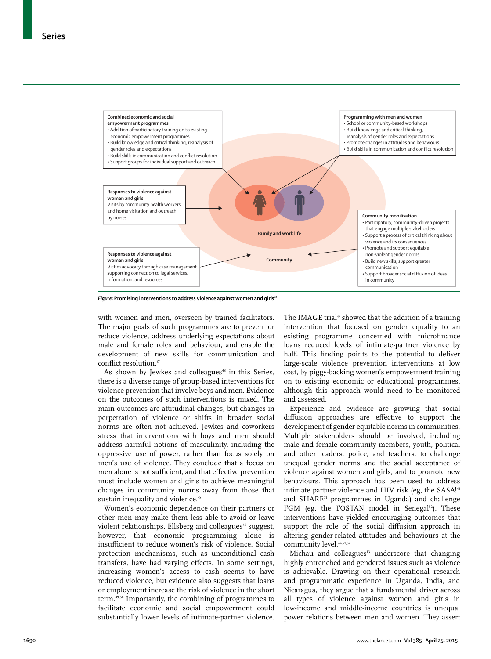

Figure: Promising interventions to address violence against women and girls<sup>43</sup>

with women and men, overseen by trained facilitators. The major goals of such programmes are to prevent or reduce violence, address underlying expectations about male and female roles and behaviour, and enable the development of new skills for communication and conflict resolution.<sup>47</sup>

As shown by Jewkes and colleagues<sup>48</sup> in this Series, there is a diverse range of group-based interventions for violence prevention that involve boys and men. Evidence on the outcomes of such interventions is mixed. The main outcomes are attitudinal changes, but changes in perpetration of violence or shifts in broader social norms are often not achieved. Jewkes and coworkers stress that interventions with boys and men should address harmful notions of masculinity, including the oppressive use of power, rather than focus solely on men's use of violence. They conclude that a focus on men alone is not sufficient, and that effective prevention must include women and girls to achieve meaningful changes in community norms away from those that sustain inequality and violence.<sup>48</sup>

Women's economic dependence on their partners or other men may make them less able to avoid or leave violent relationships. Ellsberg and colleagues<sup>43</sup> suggest, however, that economic programming alone is insufficient to reduce women's risk of violence. Social protection mechanisms, such as unconditional cash transfers, have had varying effects. In some settings, increasing women's access to cash seems to have reduced violence, but evidence also suggests that loans or employment increase the risk of violence in the short term.49,50 Importantly, the combining of programmes to facilitate economic and social empowerment could substantially lower levels of intimate-partner violence.

The IMAGE trial<sup>47</sup> showed that the addition of a training intervention that focused on gender equality to an existing programme concerned with microfinance loans reduced levels of intimate-partner violence by half. This finding points to the potential to deliver large-scale violence prevention interventions at low cost, by piggy-backing women's empowerment training on to existing economic or educational programmes, although this approach would need to be monitored and assessed.

Experience and evidence are growing that social diffusion approaches are effective to support the development of gender-equitable norms in communities. Multiple stakeholders should be involved, including male and female community members, youth, political and other leaders, police, and teachers, to challenge unequal gender norms and the social acceptance of violence against women and girls, and to promote new behaviours. This approach has been used to address intimate partner violence and HIV risk (eg, the SASA!<sup>44</sup>) and SHARE<sup>51</sup> programmes in Uganda) and challenge FGM (eg, the TOSTAN model in Senegal<sup>52</sup>). These interventions have yielded encouraging outcomes that support the role of the social diffusion approach in altering gender-related attitudes and behaviours at the community level.<sup>44,51,52</sup>

Michau and colleagues $13$  underscore that changing highly entrenched and gendered issues such as violence is achievable. Drawing on their operational research and programmatic experience in Uganda, India, and Nicaragua, they argue that a fundamental driver across all types of violence against women and girls in low-income and middle-income countries is unequal power relations between men and women. They assert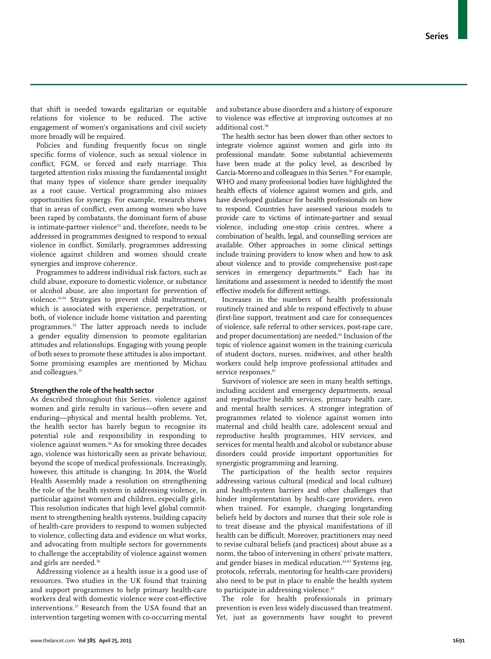that shift is needed towards egalitarian or equitable relations for violence to be reduced. The active engagement of women's organisations and civil society more broadly will be required.

Policies and funding frequently focus on single specific forms of violence, such as sexual violence in conflict, FGM, or forced and early marriage. This targeted attention risks missing the fundamental insight that many types of violence share gender inequality as a root cause. Vertical programming also misses opportunities for synergy. For example, research shows that in areas of conflict, even among women who have been raped by combatants, the dominant form of abuse is intimate-partner violence<sup>53</sup> and, therefore, needs to be addressed in programmes designed to respond to sexual violence in conflict. Similarly, programmes addressing violence against children and women should create synergies and improve coherence.

Programmes to address individual risk factors, such as child abuse, exposure to domestic violence, or substance or alcohol abuse, are also important for prevention of violence.24,54 Strategies to prevent child maltreatment, which is associated with experience, perpetration, or both, of violence include home visitation and parenting programmes.55 The latter approach needs to include a gender equality dimension to promote egalitarian attitudes and relationships. Engaging with young people of both sexes to promote these attitudes is also important. Some promising examples are mentioned by Michau and colleagues.<sup>13</sup>

#### **Strengthen the role of the health sector**

As described throughout this Series, violence against women and girls results in various—often severe and enduring—physical and mental health problems. Yet, the health sector has barely begun to recognise its potential role and responsibility in responding to violence against women.<sup>56</sup> As for smoking three decades ago, violence was historically seen as private behaviour, beyond the scope of medical professionals. Increasingly, however, this attitude is changing. In 2014, the World Health Assembly made a resolution on strengthening the role of the health system in addressing violence, in particular against women and children, especially girls. This resolution indicates that high level global commitment to strengthening health systems, building capacity of health-care providers to respond to women subjected to violence, collecting data and evidence on what works, and advocating from multiple sectors for governments to challenge the acceptability of violence against women and girls are needed.<sup>56</sup>

Addressing violence as a health issue is a good use of resources. Two studies in the UK found that training and support programmes to help primary health-care workers deal with domestic violence were cost-effective interventions.57 Research from the USA found that an intervention targeting women with co-occurring mental and substance abuse disorders and a history of exposure to violence was effective at improving outcomes at no additional cost.<sup>58</sup>

The health sector has been slower than other sectors to integrate violence against women and girls into its professional mandate. Some substantial achievements have been made at the policy level, as described by García-Moreno and colleagues in this Series.<sup>59</sup> For example, WHO and many professional bodies have highlighted the health effects of violence against women and girls, and have developed guidance for health professionals on how to respond. Countries have assessed various models to provide care to victims of intimate-partner and sexual violence, including one-stop crisis centres, where a combination of health, legal, and counselling services are available. Other approaches in some clinical settings include training providers to know when and how to ask about violence and to provide comprehensive post-rape services in emergency departments.<sup>60</sup> Each has its limitations and assessment is needed to identify the most effective models for different settings.

Increases in the numbers of health professionals routinely trained and able to respond effectively to abuse (first-line support, treatment and care for consequences of violence, safe referral to other services, post-rape care, and proper documentation) are needed.<sup>61</sup> Inclusion of the topic of violence against women in the training curricula of student doctors, nurses, midwives, and other health workers could help improve professional attitudes and service responses.<sup>61</sup>

Survivors of violence are seen in many health settings, including accident and emergency departments, sexual and reproductive health services, primary health care, and mental health services. A stronger integration of programmes related to violence against women into maternal and child health care, adolescent sexual and reproductive health programmes, HIV services, and services for mental health and alcohol or substance abuse disorders could provide important opportunities for synergistic programming and learning.

The participation of the health sector requires addressing various cultural (medical and local culture) and health-system barriers and other challenges that hinder implementation by health-care providers, even when trained. For example, changing longstanding beliefs held by doctors and nurses that their sole role is to treat disease and the physical manifestations of ill health can be difficult. Moreover, practitioners may need to revise cultural beliefs (and practices) about abuse as a norm, the taboo of intervening in others' private matters, and gender biases in medical education.<sup>62,63</sup> Systems (eg, protocols, referrals, mentoring for health-care providers) also need to be put in place to enable the health system to participate in addressing violence.<sup>61</sup>

The role for health professionals in primary prevention is even less widely discussed than treatment. Yet, just as governments have sought to prevent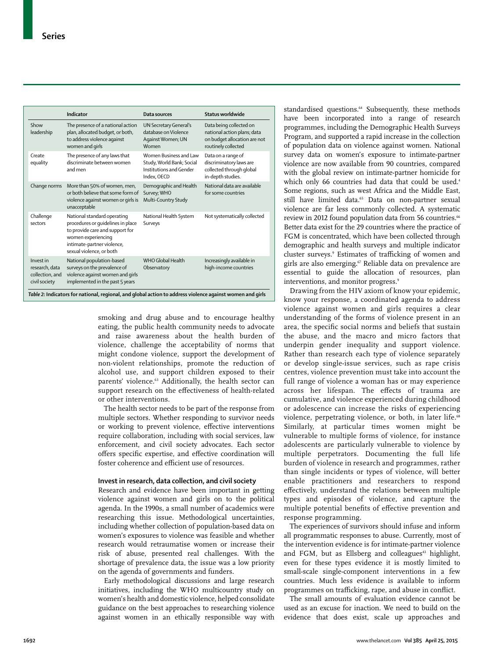|                                                                 | Indicator                                                                                                                                                                           | Data sources                                                                                  | <b>Status worldwide</b>                                                                                       |
|-----------------------------------------------------------------|-------------------------------------------------------------------------------------------------------------------------------------------------------------------------------------|-----------------------------------------------------------------------------------------------|---------------------------------------------------------------------------------------------------------------|
| Show<br>leadership                                              | The presence of a national action<br>plan, allocated budget, or both,<br>to address violence against<br>women and girls                                                             | <b>UN Secretary General's</b><br>database on Violence<br>Against Women; UN<br>Women           | Data being collected on<br>national action plans; data<br>on budget allocation are not<br>routinely collected |
| Create<br>equality                                              | The presence of any laws that<br>discriminate between women<br>and men                                                                                                              | Women Business and Law<br>Study, World Bank; Social<br>Institutions and Gender<br>Index, OECD | Data on a range of<br>discriminatory laws are<br>collected through global<br>in-depth studies.                |
| Change norms                                                    | More than 50% of women, men,<br>or both believe that some form of<br>violence against women or girls is<br>unacceptable                                                             | Demographic and Health<br>Survey; WHO<br>Multi-Country Study                                  | National data are available<br>for some countries                                                             |
| Challenge<br>sectors                                            | National standard operating<br>procedures or quidelines in place<br>to provide care and support for<br>women experiencing<br>intimate-partner violence,<br>sexual violence, or both | National Health System<br>Surveys                                                             | Not systematically collected                                                                                  |
| Invest in<br>research, data<br>collection, and<br>civil society | National population-based<br>surveys on the prevalence of<br>violence against women and girls<br>implemented in the past 5 years                                                    | WHO Global Health<br>Observatory                                                              | Increasingly available in<br>high-income countries                                                            |

smoking and drug abuse and to encourage healthy eating, the public health community needs to advocate and raise awareness about the health burden of violence, challenge the acceptability of norms that might condone violence, support the development of non-violent relationships, promote the reduction of alcohol use, and support children exposed to their parents' violence.<sup>63</sup> Additionally, the health sector can support research on the effectiveness of health-related or other interventions.

The health sector needs to be part of the response from multiple sectors. Whether responding to survivor needs or working to prevent violence, effective interventions require collaboration, including with social services, law enforcement, and civil society advocates. Each sector offers specific expertise, and effective coordination will foster coherence and efficient use of resources.

## **Invest in research, data collection, and civil society**

Research and evidence have been important in getting violence against women and girls on to the political agenda. In the 1990s, a small number of academics were researching this issue. Methodological uncertainties, including whether collection of population-based data on women's exposures to violence was feasible and whether research would retraumatise women or increase their risk of abuse, presented real challenges. With the shortage of prevalence data, the issue was a low priority on the agenda of governments and funders.

Early methodological discussions and large research initiatives, including the WHO multicountry study on women's health and domestic violence, helped consolidate guidance on the best approaches to researching violence against women in an ethically responsible way with standardised questions.<sup>64</sup> Subsequently, these methods have been incorporated into a range of research programmes, including the Demographic Health Surveys Program, and supported a rapid increase in the collection of population data on violence against women. National survey data on women's exposure to intimate-partner violence are now available from 90 countries, compared with the global review on intimate-partner homicide for which only 66 countries had data that could be used.<sup>4</sup> Some regions, such as west Africa and the Middle East, still have limited data.<sup>65</sup> Data on non-partner sexual violence are far less commonly collected. A systematic review in 2012 found population data from 56 countries.<sup>66</sup> Better data exist for the 29 countries where the practice of FGM is concentrated, which have been collected through demographic and health surveys and multiple indicator cluster surveys.<sup>9</sup> Estimates of trafficking of women and girls are also emerging.<sup>67</sup> Reliable data on prevalence are essential to guide the allocation of resources, plan interventions, and monitor progress.<sup>9</sup>

Drawing from the HIV axiom of know your epidemic, know your response, a coordinated agenda to address violence against women and girls requires a clear understanding of the forms of violence present in an area, the specific social norms and beliefs that sustain the abuse, and the macro and micro factors that underpin gender inequality and support violence. Rather than research each type of violence separately or develop single-issue services, such as rape crisis centres, violence prevention must take into account the full range of violence a woman has or may experience across her lifespan. The effects of trauma are cumulative, and violence experienced during childhood or adolescence can increase the risks of experiencing violence, perpetrating violence, or both, in later life.<sup>68</sup> Similarly, at particular times women might be vulnerable to multiple forms of violence, for instance adolescents are particularly vulnerable to violence by multiple perpetrators. Documenting the full life burden of violence in research and programmes, rather than single incidents or types of violence, will better enable practitioners and researchers to respond effectively, understand the relations between multiple types and episodes of violence, and capture the multiple potential benefits of effective prevention and response programming.

The experiences of survivors should infuse and inform all programmatic responses to abuse. Currently, most of the intervention evidence is for intimate-partner violence and FGM, but as Ellsberg and colleagues<sup>43</sup> highlight, even for these types evidence it is mostly limited to small-scale single-component interventions in a few countries. Much less evidence is available to inform programmes on trafficking, rape, and abuse in conflict.

The small amounts of evaluation evidence cannot be used as an excuse for inaction. We need to build on the evidence that does exist, scale up approaches and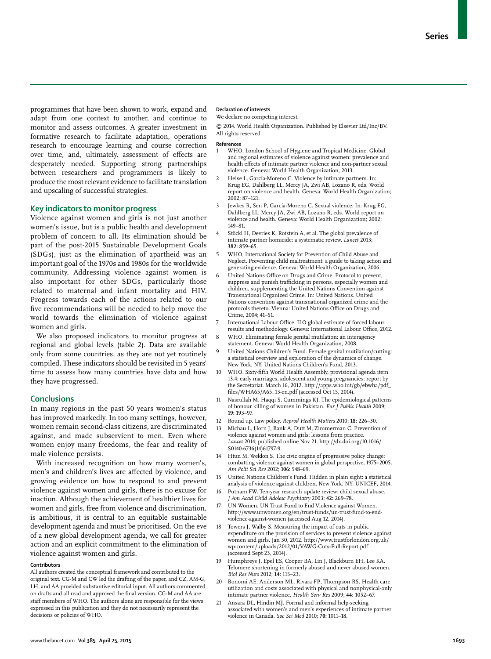programmes that have been shown to work, expand and adapt from one context to another, and continue to monitor and assess outcomes. A greater investment in formative research to facilitate adaptation, operations research to encourage learning and course correction over time, and, ultimately, assessment of effects are desperately needed. Supporting strong partnerships between researchers and programmers is likely to produce the most relevant evidence to facilitate translation and upscaling of successful strategies.

## **Key indicators to monitor progress**

Violence against women and girls is not just another women's issue, but is a public health and development problem of concern to all. Its elimination should be part of the post-2015 Sustainable Development Goals (SDGs), just as the elimination of apartheid was an important goal of the 1970s and 1980s for the worldwide community. Addressing violence against women is also important for other SDGs, particularly those related to maternal and infant mortality and HIV. Progress towards each of the actions related to our five recommendations will be needed to help move the world towards the elimination of violence against women and girls.

We also proposed indicators to monitor progress at regional and global levels (table 2). Data are available only from some countries, as they are not yet routinely compiled. These indicators should be revisited in 5 years' time to assess how many countries have data and how they have progressed.

#### **Conclusions**

In many regions in the past 50 years women's status has improved markedly. In too many settings, however, women remain second-class citizens, are discriminated against, and made subservient to men. Even where women enjoy many freedoms, the fear and reality of male violence persists.

With increased recognition on how many women's, men's and children's lives are affected by violence, and growing evidence on how to respond to and prevent violence against women and girls, there is no excuse for inaction. Although the achievement of healthier lives for women and girls, free from violence and discrimination, is ambitious, it is central to an equitable sustainable development agenda and must be prioritised. On the eve of a new global development agenda, we call for greater action and an explicit commitment to the elimination of violence against women and girls.

#### **Contributors**

All authors created the conceptual framework and contributed to the original text. CG-M and CW led the drafting of the paper, and CZ, AM-G, LH, and AA provided substantive editorial input. All authors commented on drafts and all read and approved the final version. CG-M and AA are staff members of WHO. The authors alone are responsible for the views expressed in this publication and they do not necessarily represent the decisions or policies of WHO.

#### **Declaration of interests**

We declare no competing interest.

© 2014. World Health Organization. Published by Elsevier Ltd/Inc/BV. All rights reserved.

#### **References**

- WHO, London School of Hygiene and Tropical Medicine. Global and regional estimates of violence against women: prevalence and health effects of intimate partner violence and non-partner sexual violence. Geneva: World Health Organization, 2013.
- Heise L, García-Moreno C. Violence by intimate partners. In: Krug EG, Dahlberg LL, Mercy JA, Zwi AB, Lozano R, eds. World report on violence and health. Geneva: World Health Organization; 2002; 87–121.
- Jewkes R, Sen P, García-Moreno C. Sexual violence. In: Krug EG, Dahlberg LL, Mercy JA, Zwi AB, Lozano R, eds. World report on violence and health. Geneva: World Health Organization; 2002; 149–81.
- 4 Stöckl H, Devries K, Rotstein A, et al. The global prevalence of intimate partner homicide: a systematic review. *Lancet* 2013; **382:** 859–65.
- 5 WHO, International Society for Prevention of Child Abuse and Neglect. Preventing child maltreatment: a guide to taking action and generating evidence. Geneva: World Health Organization, 2006.
- United Nations Office on Drugs and Crime. Protocol to prevent, suppress and punish trafficking in persons, especially women and children, supplementing the United Nations Convention against Transnational Organized Crime. In: United Nations. United Nations convention against transnational organized crime and the protocols thereto. Vienna: United Nations Office on Drugs and Crime, 2004; 41–51.
- International Labour Office. ILO global estimate of forced labour: results and methodology. Geneva: International Labour Office, 2012.
- 8 WHO. Eliminating female genital mutilation: an interagency statement. Geneva: World Health Organization, 2008.
- United Nations Children's Fund. Female genital mutilation/cutting: a statistical overview and exploration of the dynamics of change. New York, NY: United Nations Children's Fund, 2013.
- WHO. Sixty-fifth World Health Assembly, provisional agenda item 13.4: early marriages, adolescent and young pregnancies: report by the Secretariat. March 16, 2012. http://apps.who.int/gb/ebwha/pdf\_ files/WHA65/A65\_13-en.pdf (accessed Oct 15, 2014).
- Nasrullah M, Haqqi S, Cummings KJ. The epidemiological patterns of honour killing of women in Pakistan. *Eur J Public Health* 2009; **19:** 193–97.
- 12 Round up. Law policy. *Reprod Health Matters* 2010; **18:** 226–30.
- Michau L, Horn J, Bank A, Dutt M, Zimmerman C. Prevention of violence against women and girls: lessons from practice. *Lancet* 2014; published online Nov 21. http://dx.doi.org/10.1016/ S0140-6736(14)61797-9.
- 14 Htun M, Weldon S. The civic origins of progressive policy change: combatting violence against women in global perspective, 1975–2005. *Am Polit Sci Rev* 2012; **106:** 548–69.
- 15 United Nations Children's Fund. Hidden in plain sight: a statistical analysis of violence against children. New York, NY: UNICEF, 2014.
- 16 Putnam FW. Ten-year research update review: child sexual abuse. *J Am Acad Child Adolesc Psychiatry* 2003; **42:** 269–78.
- 17 UN Women. UN Trust Fund to End Violence against Women. http://www.unwomen.org/en/trust-funds/un-trust-fund-to-endviolence-against-women (accessed Aug 12, 2014).
- 18 Towers J, Walby S. Measuring the impact of cuts in public expenditure on the provision of services to prevent violence against women and girls. Jan 30, 2012. http://www.trustforlondon.org.uk/ wp-content/uploads/2012/01/VAWG-Cuts-Full-Report.pdf (accessed Sept 23, 2014).
- 19 Humphreys J, Epel ES, Cooper BA, Lin J, Blackburn EH, Lee KA. Telomere shortening in formerly abused and never abused women. *Biol Res Nurs* 2012; **14:** 115–23.
- 20 Bonomi AE, Anderson ML, Rivara FP, Thompson RS. Health care utilization and costs associated with physical and nonphysical-only intimate partner violence. *Health Serv Res* 2009; **44:** 1052–67.
- 21 Ansara DL, Hindin MJ. Formal and informal help-seeking associated with women's and men's experiences of intimate partner violence in Canada. *Soc Sci Med* 2010; **70:** 1011–18.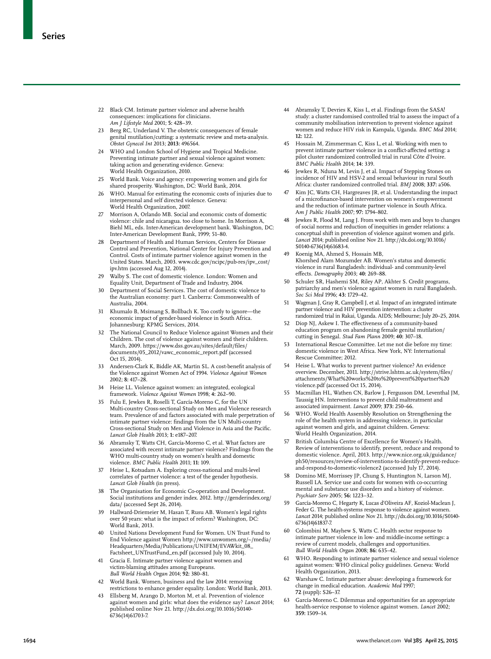- 22 Black CM. Intimate partner violence and adverse health consequences: implications for clinicians. *Am J Lifestyle Med* 2001; **5:** 428–39.
- 23 Berg RC, Underland V. The obstetric consequences of female genital mutilation/cutting: a systematic review and meta-analysis. *Obstet Gynecol Int* 2013; **2013:** 496564.
- 24 WHO and London School of Hygiene and Tropical Medicine. Preventing intimate partner and sexual violence against women: taking action and generating evidence. Geneva: World Health Organization, 2010.
- 25 World Bank. Voice and agency: empowering women and girls for shared prosperity. Washington, DC: World Bank, 2014.
- 26 WHO. Manual for estimating the economic costs of injuries due to interpersonal and self directed violence. Geneva: World Health Organization, 2007.
- 27 Morrison A, Orlando MB. Social and economic costs of domestic violence: chile and nicaragua. too close to home. In Morrison A, Biehl ML, eds. Inter-American development bank. Washington, DC: Inter-American Development Bank, 1999; 51–80.
- 28 Department of Health and Human Services, Centers for Disease Control and Prevention, National Center for Injury Prevention and Control. Costs of intimate partner violence against women in the United States. March, 2003. www.cdc.gov/ncipc/pub-res/ipv\_cost/ ipv.htm (accessed Aug 12, 2014).
- Walby S. The cost of domestic violence. London: Women and Equality Unit, Department of Trade and Industry, 2004.
- 30 Department of Social Services. The cost of domestic violence to the Australian economy: part 1. Canberra: Commonwealth of Australia, 2004.
- 31 Khumalo B, Msimang S, Bollbach K. Too costly to ignore—the economic impact of gender-based violence in South Africa. Johannesburg: KPMG Services, 2014.
- 32 The National Council to Reduce Violence against Women and their Children. The cost of violence against women and their children. March, 2009. https://www.dss.gov.au/sites/default/files/ documents/05\_2012/vawc\_economic\_report.pdf (accessed Oct 15, 2014).
- 33 Andersen-Clark K, Biddle AK, Martin SL. A cost-benefit analysis of the Violence against Women Act of 1994. *Violence Against Women* 2002; **8:** 417–28.
- 34 Heise LL. Violence against women: an integrated, ecological framework. *Violence Against Women* 1998; **4:** 262–90.
- 35 Fulu E, Jewkes R, Roselli T, García-Moreno C, for the UN Multi-country Cross-sectional Study on Men and Violence research team. Prevalence of and factors associated with male perpetration of intimate partner violence: findings from the UN Multi-country Cross-sectional Study on Men and Violence in Asia and the Pacific. *Lancet Glob Health* 2013; **1:** e187–207.
- 36 Abramsky T, Watts CH, García-Moreno C, et al. What factors are associated with recent intimate partner violence? Findings from the WHO multi-country study on women's health and domestic violence. *BMC Public Health* 2011; **11:** 109.
- 37 Heise L, Kotsadam A. Exploring cross-national and multi-level correlates of partner violence: a test of the gender hypothesis. *Lancet Glob Health* (in press).
- 38 The Organisation for Economic Co-operation and Development. Social institutions and gender index. 2012. http://genderindex.org/ data/ (accessed Sept 26, 2014).
- 39 Hallward-Driemeier M, Hasan T, Rusu AB. Women's legal rights over 50 years: what is the impact of reform? Washington, DC World Bank, 2013.
- 40 United Nations Development Fund for Women. UN Trust Fund to End Violence against Women http://www.unwomen.org/~/media/ Headquarters/Media/Publications/UNIFEM/EVAWkit\_08\_ Factsheet\_UNTrustFund\_en.pdf (accessed July 10, 2014).
- 41 Gracia E. Intimate partner violence against women and victim-blaming attitudes among Europeans. *Bull World Health Organ* 2014; **92:** 380–81.
- 42 World Bank. Women, business and the law 2014: removing restrictions to enhance gender equality. London: World Bank, 2013.
- 43 Ellsberg M, Arango D, Morton M, et al. Prevention of violence against women and girls: what does the evidence say? *Lancet* 2014; published online Nov 21. http://dx.doi.org/10.1016/S0140- 6736(14)61703-7.
- Abramsky T, Devries K, Kiss L, et al. Findings from the SASA! study: a cluster randomised controlled trial to assess the impact of a community mobilisation intervention to prevent violence against women and reduce HIV risk in Kampala, Uganda. *BMC Med* 2014; **12:** 122.
- 45 Hossain M, Zimmerman C, Kiss L, et al. Working with men to prevent intimate partner violence in a conflict-affected setting: a pilot cluster randomized controlled trial in rural Côte d'Ivoire. *BMC Public Health* 2014; **14:** 339.
- Jewkes R, Nduna M, Levin J, et al. Impact of Stepping Stones on incidence of HIV and HSV-2 and sexual behaviour in rural South Africa: cluster randomized controlled trial. *BMJ* 2008; **337:** a506.
- 47 Kim JC, Watts CH, Hargreaves JR, et al. Understanding the impact of a microfinance-based intervention on women's empowerment and the reduction of intimate partner violence in South Africa. A*m J Public Health* 2007; **97:** 1794–802.
- 48 Jewkes R, Flood M, Lang J. From work with men and boys to changes of social norms and reduction of inequities in gender relations: a conceptual shift in prevention of violence against women and girls. *Lancet* 2014; published online Nov 21. http://dx.doi.org/10.1016/ S0140-6736(14)61683-4.
- 49 Koenig MA, Ahmed S, Hossain MB, Khorshed Alam Mozumder AB. Women's status and domestic violence in rural Bangladesh: individual- and community-level eff ects. *Demography* 2003; **40:** 269–88.
- 50 Schuler SR, Hashemi SM, Riley AP, Akhter S. Credit programs, patriarchy and men's violence against women in rural Bangladesh. *Soc Sci Med* 1996; **43:** 1729–42.
- Wagman J, Gray R, Campbell J, et al. Impact of an integrated intimate partner violence and HIV prevention intervention: a cluster randomized trial in Rakai, Uganda. AIDS; Melbourne; July 20–25, 2014.
- Diop NJ, Askew I. The effectiveness of a community-based education program on abandoning female genital mutilation/ cutting in Senegal. *Stud Fam Plann* 2009; **40:** 307–18.
- 53 International Rescue Committee. Let me not die before my time: domestic violence in West Africa. New York, NY: International Rescue Committee; 2012.
- 54 Heise L. What works to prevent partner violence? An evidence overview. December, 2011. http://strive.lshtm.ac.uk/system/files/ attachments/What%20works%20to%20prevent%20partner%20 violence.pdf (accessed Oct 15, 2014).
- 55 Macmillan HL, Wathen CN, Barlow J, Fergusson DM, Leventhal JM, Taussig HN. Interventions to prevent child maltreatment and associated impairment. *Lancet* 2009; **373:** 250–66.
- 56 WHO. World Health Assembly Resolution on Strengthening the role of the health system in addressing violence, in particular against women and girls, and against children. Geneva: World Health Organization, 2014.
- British Columbia Centre of Excellence for Women's Health. Review of interventions to identify, prevent, reduce and respond to domestic violence. April, 2013. http://www.nice.org.uk/guidance/ ph50/resources/review-of-interventions-to-identify-prevent-reduceand-respond-to-domestic-violence2 (accessed July 17, 2014).
- 58 Domino ME, Morrissey JP, Chung S, Huntington N, Larson MJ, Russell LA. Service use and costs for women with co-occurring mental and substance use disorders and a history of violence. *Psychiatr Serv* 2005; **56:** 1223–32.
- García-Moreno C, Hegarty K, Lucas d'Oliveira AF, Koziol-Maclean J, Feder G. The health-systems response to violence against women. *Lancet* 2014; published online Nov 21. http://dx.doi.org/10.1016/S0140- 6736(14)61837-7.
- Colombini M, Mayhew S, Watts C. Health sector response to intimate partner violence in low- and middle-income settings: a review of current models, challenges and opportunities. *Bull World Health Organ* 2008; **86:** 635–42.
- 61 WHO. Responding to intimate partner violence and sexual violence against women: WHO clinical policy guidelines. Geneva: World Health Organization, 2013.
- 62 Warshaw C. Intimate partner abuse: developing a framework for change in medical education. *Academic Med* 1997; **72** (suppl)**:** S26–37.
- 63 García-Moreno C. Dilemmas and opportunities for an appropriate health-service response to violence against women. *Lancet* 2002; **359:** 1509–14.